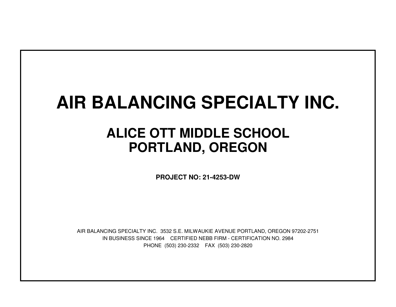## **AIR BALANCING SPECIALTY INC.**

## **ALICE OTT MIDDLE SCHOOLPORTLAND, OREGON**

**PROJECT NO: 21-4253-DW**

IN BUSINESS SINCE 1964 CERTIFIED NEBB FIRM - CERTIFICATION NO. 2984PHONE (503) 230-2332 FAX (503) 230-2820AIR BALANCING SPECIALTY INC. 3532 S.E. MILWAUKIE AVENUE PORTLAND, OREGON 97202-2751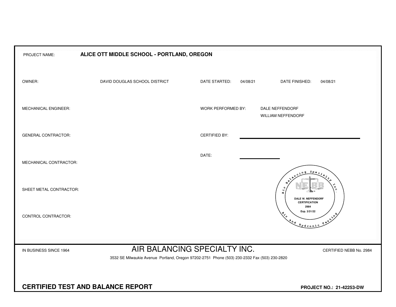| PROJECT NAME:                                                                                                                                                                     | ALICE OTT MIDDLE SCHOOL - PORTLAND, OREGON                           |                                              |                                                                                                                                                                                                                                                                                                                                                                                      |  |  |  |  |  |  |  |  |  |
|-----------------------------------------------------------------------------------------------------------------------------------------------------------------------------------|----------------------------------------------------------------------|----------------------------------------------|--------------------------------------------------------------------------------------------------------------------------------------------------------------------------------------------------------------------------------------------------------------------------------------------------------------------------------------------------------------------------------------|--|--|--|--|--|--|--|--|--|
| OWNER:                                                                                                                                                                            | DAVID DOUGLAS SCHOOL DISTRICT                                        | DATE STARTED:<br>04/08/21                    | DATE FINISHED:<br>04/08/21                                                                                                                                                                                                                                                                                                                                                           |  |  |  |  |  |  |  |  |  |
| MECHANICAL ENGINEER:                                                                                                                                                              |                                                                      | <b>WORK PERFORMED BY:</b><br>DALE NEFFENDORF | WILLIAM NEFFENDORF                                                                                                                                                                                                                                                                                                                                                                   |  |  |  |  |  |  |  |  |  |
| <b>GENERAL CONTRACTOR:</b>                                                                                                                                                        |                                                                      | <b>CERTIFIED BY:</b>                         |                                                                                                                                                                                                                                                                                                                                                                                      |  |  |  |  |  |  |  |  |  |
| MECHANICAL CONTRACTOR:                                                                                                                                                            |                                                                      | DATE:                                        | $S_{PQ}$                                                                                                                                                                                                                                                                                                                                                                             |  |  |  |  |  |  |  |  |  |
| SHEET METAL CONTRACTOR:                                                                                                                                                           |                                                                      |                                              | Ч<br>4<br>DALE W. NEFFENDORF<br><b>CERTIFICATION</b>                                                                                                                                                                                                                                                                                                                                 |  |  |  |  |  |  |  |  |  |
| CONTROL CONTRACTOR:                                                                                                                                                               |                                                                      |                                              | 2984<br>Exp. 3/31/22<br>$x^2$<br>$\begin{picture}(180,10) \put(0,0){\line(1,0){10}} \put(15,0){\line(1,0){10}} \put(15,0){\line(1,0){10}} \put(15,0){\line(1,0){10}} \put(15,0){\line(1,0){10}} \put(15,0){\line(1,0){10}} \put(15,0){\line(1,0){10}} \put(15,0){\line(1,0){10}} \put(15,0){\line(1,0){10}} \put(15,0){\line(1,0){10}} \put(15,0){\line(1,0){10}} \put(15,0){\line($ |  |  |  |  |  |  |  |  |  |
| AIR BALANCING SPECIALTY INC.<br>IN BUSINESS SINCE 1964<br>CERTIFIED NEBB No. 2984<br>3532 SE Milwaukie Avenue Portland, Oregon 97202-2751 Phone (503) 230-2332 Fax (503) 230-2820 |                                                                      |                                              |                                                                                                                                                                                                                                                                                                                                                                                      |  |  |  |  |  |  |  |  |  |
|                                                                                                                                                                                   |                                                                      |                                              |                                                                                                                                                                                                                                                                                                                                                                                      |  |  |  |  |  |  |  |  |  |
|                                                                                                                                                                                   | <b>CERTIFIED TEST AND BALANCE REPORT</b><br>PROJECT NO.: 21-42253-DW |                                              |                                                                                                                                                                                                                                                                                                                                                                                      |  |  |  |  |  |  |  |  |  |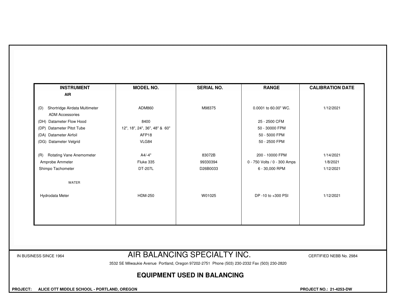| <b>INSTRUMENT</b>                      | <b>MODEL NO.</b>              | <b>SERIAL NO.</b> | <b>RANGE</b>                 | <b>CALIBRATION DATE</b> |
|----------------------------------------|-------------------------------|-------------------|------------------------------|-------------------------|
| <b>AIR</b>                             |                               |                   |                              |                         |
| Shortridge Airdata Multimeter<br>(D)   | ADM860                        | M98375            | 0.0001 to 60.00" WC.         | 1/12/2021               |
| <b>ADM Accessories</b>                 |                               |                   |                              |                         |
| (DH) Datameter Flow Hood               | 8400                          |                   | 25 - 2500 CFM                |                         |
| (DP) Datameter Pitot Tube              | 12", 18", 24", 36", 48" & 60" |                   | 50 - 30000 FPM               |                         |
| (DA) Datameter Airfoil                 | AFP18                         |                   | 50 - 5000 FPM                |                         |
| (DG) Datameter Velgrid                 | VLG84                         |                   | 50 - 2500 FPM                |                         |
| <b>Rotating Vane Anemometer</b><br>(R) | $A4/-4"$                      | 83072B            | 200 - 10000 FPM              | 1/14/2021               |
| Amprobe Ammeter                        | Fluke 335                     | 99330394          | 0 - 750 Volts / 0 - 300 Amps | 1/8/2021                |
| Shimpo Tachometer                      | DT-207L                       | D26B0033          | 6 - 30,000 RPM               | 1/12/2021               |
| WATER                                  |                               |                   |                              |                         |
| Hydrodata Meter                        | <b>HDM-250</b>                | W01025            | DP -10 to +300 PSI           | 1/12/2021               |
|                                        |                               |                   |                              |                         |
|                                        |                               |                   |                              |                         |
|                                        |                               |                   |                              |                         |
|                                        |                               |                   |                              |                         |

3532 SE Milwaukie Avenue Portland, Oregon 97202-2751 Phone (503) 230-2332 Fax (503) 230-2820

## **EQUIPMENT USED IN BALANCING**

 **PROJECT: ALICE OTT MIDDLE SCHOOL - PORTLAND, OREGON PROJECT NO.: 21-4253-DW**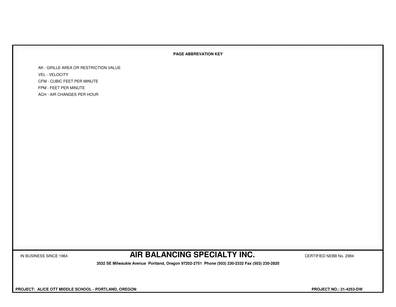## **PAGE ABBREVATION KEY**

AK - GRILLE AREA OR RESTRICTION VALUEVEL - VELOCITY CFM - CUBIC FEET PER MINUTEFPM - FEET PER MINUTEACH - AIR CHANGES PER HOUR

IN BUSINESS SINCE 1964 **AIR BALANCING SPECIALTY INC.** CERTIFIED NEBB No. 2984

 **3532 SE Milwaukie Avenue Portland, Oregon 97202-2751 Phone (503) 230-2332 Fax (503) 230-2820**

 **PROJECT: ALICE OTT MIDDLE SCHOOL - PORTLAND, OREGON PROJECT NO.: 21-4253-DW**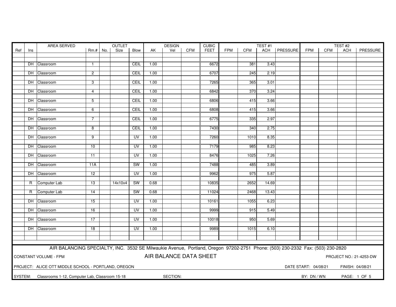|         | AREA SERVED |                                                                                                                               |                 |  | <b>OUTLET</b> |             |      | <b>DESIGN</b>          |            |             | <b>CUBIC</b><br>TEST#1 |            |       | TEST#2         |                      |     |                  |                         |
|---------|-------------|-------------------------------------------------------------------------------------------------------------------------------|-----------------|--|---------------|-------------|------|------------------------|------------|-------------|------------------------|------------|-------|----------------|----------------------|-----|------------------|-------------------------|
| Ref     | Ins         |                                                                                                                               | $Rm.+No.$       |  | Size          | Blow        | AK   | Vel                    | <b>CFM</b> | <b>FEET</b> | <b>FPM</b>             | <b>CFM</b> |       | ACH   PRESSURE | <b>FPM</b>           | CFM | ACH              | PRESSURE                |
|         |             |                                                                                                                               |                 |  |               |             |      |                        |            |             |                        |            |       |                |                      |     |                  |                         |
|         |             |                                                                                                                               |                 |  |               |             |      |                        |            |             |                        |            |       |                |                      |     |                  |                         |
|         |             | DH Classroom                                                                                                                  | $\mathbf{1}$    |  |               | CEIL        | 1.00 |                        |            | 6672        |                        | 381        | 3.43  |                |                      |     |                  |                         |
|         |             | DH Classroom                                                                                                                  | $\mathbf{2}$    |  |               | <b>CEIL</b> | 1.00 |                        |            | 6707        |                        | 245        | 2.19  |                |                      |     |                  |                         |
|         |             |                                                                                                                               |                 |  |               |             |      |                        |            |             |                        |            |       |                |                      |     |                  |                         |
|         |             | DH Classroom                                                                                                                  | 3               |  |               | CEIL        | 1.00 |                        |            | 7265        |                        | 365        | 3.01  |                |                      |     |                  |                         |
|         |             |                                                                                                                               |                 |  |               |             |      |                        |            |             |                        |            |       |                |                      |     |                  |                         |
|         |             | DH Classroom                                                                                                                  | 4               |  |               | CEIL        | 1.00 |                        |            | 6842        |                        | 370        | 3.24  |                |                      |     |                  |                         |
|         |             |                                                                                                                               |                 |  |               |             |      |                        |            |             |                        |            |       |                |                      |     |                  |                         |
|         |             | DH Classroom                                                                                                                  | 5               |  |               | CEIL        | 1.00 |                        |            | 6806        |                        | 415        | 3.66  |                |                      |     |                  |                         |
|         |             |                                                                                                                               |                 |  |               |             |      |                        |            |             |                        |            |       |                |                      |     |                  |                         |
|         |             | DH Classroom                                                                                                                  | 6               |  |               | CEIL        | 1.00 |                        |            | 6808        |                        | 415        | 3.66  |                |                      |     |                  |                         |
|         |             | DH Classroom                                                                                                                  | $\overline{7}$  |  |               | CEIL        | 1.00 |                        |            | 6775        |                        | 335        | 2.97  |                |                      |     |                  |                         |
|         |             |                                                                                                                               |                 |  |               |             |      |                        |            |             |                        |            |       |                |                      |     |                  |                         |
|         |             | DH Classroom                                                                                                                  | 8               |  |               | <b>CEIL</b> | 1.00 |                        |            | 7430        |                        | 340        | 2.75  |                |                      |     |                  |                         |
|         |             |                                                                                                                               |                 |  |               |             |      |                        |            |             |                        |            |       |                |                      |     |                  |                         |
|         |             | DH Classroom                                                                                                                  | $\overline{9}$  |  |               | UV          | 1.00 |                        |            | 7260        |                        | 1010       | 8.35  |                |                      |     |                  |                         |
|         |             |                                                                                                                               |                 |  |               |             |      |                        |            |             |                        |            |       |                |                      |     |                  |                         |
|         |             | DH Classroom                                                                                                                  | 10              |  |               | UV          | 1.00 |                        |            | 7179        |                        | 985        | 8.23  |                |                      |     |                  |                         |
|         |             |                                                                                                                               |                 |  |               |             |      |                        |            |             |                        |            |       |                |                      |     |                  |                         |
|         |             | DH Classroom                                                                                                                  | 11              |  |               | UV          | 1.00 |                        |            | 8476        |                        | 1025       | 7.26  |                |                      |     |                  |                         |
|         |             |                                                                                                                               |                 |  |               |             |      |                        |            |             |                        |            |       |                |                      |     |                  |                         |
|         |             | DH Classroom                                                                                                                  | 11A             |  |               | <b>SW</b>   | 1.00 |                        |            | 7488        |                        | 485        | 3.89  |                |                      |     |                  |                         |
|         |             | DH Classroom                                                                                                                  | 12              |  |               | UV          | 1.00 |                        |            | 9962        |                        | 975        | 5.87  |                |                      |     |                  |                         |
|         |             |                                                                                                                               |                 |  |               |             |      |                        |            |             |                        |            |       |                |                      |     |                  |                         |
|         |             | R Computer Lab                                                                                                                | $\overline{13}$ |  | 14x10x4       | <b>SW</b>   | 0.68 |                        |            | 10835       |                        | 2652       | 14.69 |                |                      |     |                  |                         |
|         |             |                                                                                                                               |                 |  |               |             |      |                        |            |             |                        |            |       |                |                      |     |                  |                         |
|         |             | R Computer Lab                                                                                                                | 14              |  |               | <b>SW</b>   | 0.68 |                        |            | 11024       |                        | 2468       | 13.43 |                |                      |     |                  |                         |
|         |             |                                                                                                                               |                 |  |               |             |      |                        |            |             |                        |            |       |                |                      |     |                  |                         |
|         |             | DH Classroom                                                                                                                  | 15              |  |               | <b>UV</b>   | 1.00 |                        |            | 10161       |                        | 1055       | 6.23  |                |                      |     |                  |                         |
|         |             |                                                                                                                               |                 |  |               |             |      |                        |            |             |                        |            |       |                |                      |     |                  |                         |
|         |             | DH Classroom                                                                                                                  | 16              |  |               | UV          | 1.00 |                        |            | 9999        |                        | 915        | 5.49  |                |                      |     |                  |                         |
|         |             |                                                                                                                               |                 |  |               |             |      |                        |            |             |                        |            |       |                |                      |     |                  |                         |
|         |             | DH Classroom                                                                                                                  | $\overline{17}$ |  |               | UV          | 1.00 |                        |            | 10018       |                        | 950        | 5.69  |                |                      |     |                  |                         |
|         |             | DH Classroom                                                                                                                  | 18              |  |               | UV          | 1.00 |                        |            | 9989        |                        | 1015       | 6.10  |                |                      |     |                  |                         |
|         |             |                                                                                                                               |                 |  |               |             |      |                        |            |             |                        |            |       |                |                      |     |                  |                         |
|         |             |                                                                                                                               |                 |  |               |             |      |                        |            |             |                        |            |       |                |                      |     |                  |                         |
|         |             |                                                                                                                               |                 |  |               |             |      |                        |            |             |                        |            |       |                |                      |     |                  |                         |
|         |             | AIR BALANCING SPECIALTY, INC. 3532 SE Milwaukie Avenue, Portland, Oregon 97202-2751 Phone: (503) 230-2332 Fax: (503) 230-2820 |                 |  |               |             |      |                        |            |             |                        |            |       |                |                      |     |                  |                         |
|         |             |                                                                                                                               |                 |  |               |             |      |                        |            |             |                        |            |       |                |                      |     |                  |                         |
|         |             | <b>CONSTANT VOLUME - FPM</b>                                                                                                  |                 |  |               |             |      | AIR BALANCE DATA SHEET |            |             |                        |            |       |                |                      |     |                  | PROJECT NO.: 21-4253-DW |
|         |             |                                                                                                                               |                 |  |               |             |      |                        |            |             |                        |            |       |                |                      |     |                  |                         |
|         |             | PROJECT: ALICE OTT MIDDLE SCHOOL - PORTLAND, OREGON                                                                           |                 |  |               |             |      |                        |            |             |                        |            |       |                | DATE START: 04/08/21 |     | FINISH: 04/08/21 |                         |
|         |             |                                                                                                                               |                 |  |               |             |      |                        |            |             |                        |            |       |                |                      |     |                  |                         |
| SYSTEM: |             | Classrooms 1-12, Computer Lab, Classroom 15-18                                                                                |                 |  |               |             |      | SECTION:               |            |             |                        |            |       |                | BY: DN / WN          |     |                  | PAGE: 1 OF 5            |
|         |             |                                                                                                                               |                 |  |               |             |      |                        |            |             |                        |            |       |                |                      |     |                  |                         |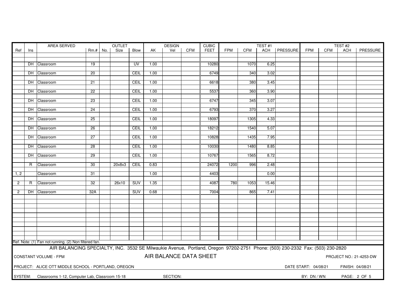|                |                                                                                                 | AREA SERVED                                                                                                                   |                 |  | OUTLET |             |      | <b>DESIGN</b> |            | <b>CUBIC</b> |            |            | TEST#1     |          |             |            | TEST <sub>#2</sub> |              |
|----------------|-------------------------------------------------------------------------------------------------|-------------------------------------------------------------------------------------------------------------------------------|-----------------|--|--------|-------------|------|---------------|------------|--------------|------------|------------|------------|----------|-------------|------------|--------------------|--------------|
| Ref            | Ins                                                                                             |                                                                                                                               | $Rm.+No.$       |  | Size   | <b>Blow</b> | AK   | Vel           | <b>CFM</b> | <b>FEET</b>  | <b>FPM</b> | <b>CFM</b> | <b>ACH</b> | PRESSURE | <b>FPM</b>  | <b>CFM</b> | <b>ACH</b>         | PRESSURE     |
|                |                                                                                                 |                                                                                                                               |                 |  |        |             |      |               |            |              |            |            |            |          |             |            |                    |              |
|                |                                                                                                 |                                                                                                                               |                 |  |        |             |      |               |            |              |            |            |            |          |             |            |                    |              |
|                |                                                                                                 | DH Classroom                                                                                                                  | 19              |  |        | UV          | 1.00 |               |            | 10280        |            | 1070       | 6.25       |          |             |            |                    |              |
|                |                                                                                                 |                                                                                                                               |                 |  |        | CEIL        |      |               |            | 6749         |            |            |            |          |             |            |                    |              |
|                |                                                                                                 | DH Classroom                                                                                                                  | 20              |  |        |             | 1.00 |               |            |              |            | 340        | 3.02       |          |             |            |                    |              |
|                |                                                                                                 | DH Classroom                                                                                                                  | 21              |  |        | CEIL        | 1.00 |               |            | 6618         |            | 380        | 3.45       |          |             |            |                    |              |
|                |                                                                                                 |                                                                                                                               |                 |  |        |             |      |               |            |              |            |            |            |          |             |            |                    |              |
|                |                                                                                                 | DH Classroom                                                                                                                  | $\overline{22}$ |  |        | CEIL        | 1.00 |               |            | 5537         |            | 360        | 3.90       |          |             |            |                    |              |
|                |                                                                                                 |                                                                                                                               |                 |  |        |             |      |               |            |              |            |            |            |          |             |            |                    |              |
|                |                                                                                                 | DH Classroom                                                                                                                  | 23              |  |        | CEIL        | 1.00 |               |            | 6747         |            | 345        | 3.07       |          |             |            |                    |              |
|                |                                                                                                 |                                                                                                                               |                 |  |        |             |      |               |            |              |            |            |            |          |             |            |                    |              |
|                |                                                                                                 | DH Classroom                                                                                                                  | $\overline{24}$ |  |        | CEIL        | 1.00 |               |            | 6793         |            | 370        | 3.27       |          |             |            |                    |              |
|                |                                                                                                 |                                                                                                                               |                 |  |        |             |      |               |            |              |            |            |            |          |             |            |                    |              |
|                |                                                                                                 | DH Classroom                                                                                                                  | 25              |  |        | CEIL        | 1.00 |               |            | 18097        |            | 1305       | 4.33       |          |             |            |                    |              |
|                |                                                                                                 |                                                                                                                               |                 |  |        |             |      |               |            |              |            |            |            |          |             |            |                    |              |
|                |                                                                                                 | DH Classroom                                                                                                                  | 26              |  |        | CEIL        | 1.00 |               |            | 18212        |            | 1540       | 5.07       |          |             |            |                    |              |
|                |                                                                                                 |                                                                                                                               | 27              |  |        |             |      |               |            | 10828        |            |            |            |          |             |            |                    |              |
|                |                                                                                                 | DH Classroom                                                                                                                  |                 |  |        | CEIL        | 1.00 |               |            |              |            | 1435       | 7.95       |          |             |            |                    |              |
|                |                                                                                                 | DH Classroom                                                                                                                  | 28              |  |        | <b>CEIL</b> | 1.00 |               |            | 10030        |            | 1480       | 8.85       |          |             |            |                    |              |
|                |                                                                                                 |                                                                                                                               |                 |  |        |             |      |               |            |              |            |            |            |          |             |            |                    |              |
|                |                                                                                                 | DH Classroom                                                                                                                  | 29              |  |        | CEIL        | 1.00 |               |            | 10767        |            | 1565       | 8.72       |          |             |            |                    |              |
|                |                                                                                                 |                                                                                                                               |                 |  |        |             |      |               |            |              |            |            |            |          |             |            |                    |              |
|                | R                                                                                               | Classroom                                                                                                                     | 30              |  | 20x8x3 | CEIL        | 0.83 |               |            | 24072        | 1200       | 996        | 2.48       |          |             |            |                    |              |
|                |                                                                                                 |                                                                                                                               |                 |  |        |             |      |               |            |              |            |            |            |          |             |            |                    |              |
| 1, 2           |                                                                                                 | Classroom                                                                                                                     | 31              |  |        |             | 1.00 |               |            | 4403         |            |            | 0.00       |          |             |            |                    |              |
|                |                                                                                                 |                                                                                                                               |                 |  |        |             |      |               |            |              |            |            |            |          |             |            |                    |              |
| $\overline{2}$ | R                                                                                               | Classroom                                                                                                                     | $\overline{32}$ |  | 26x10  | <b>SUV</b>  | 1.35 |               |            | 4087         | 780        | 1053       | 15.46      |          |             |            |                    |              |
|                |                                                                                                 |                                                                                                                               |                 |  |        |             |      |               |            |              |            |            |            |          |             |            |                    |              |
| $\overline{2}$ |                                                                                                 | DH Classroom                                                                                                                  | 32A             |  |        | <b>SUV</b>  | 0.68 |               |            | 7004         |            | 865        | 7.41       |          |             |            |                    |              |
|                |                                                                                                 |                                                                                                                               |                 |  |        |             |      |               |            |              |            |            |            |          |             |            |                    |              |
|                |                                                                                                 |                                                                                                                               |                 |  |        |             |      |               |            |              |            |            |            |          |             |            |                    |              |
|                |                                                                                                 |                                                                                                                               |                 |  |        |             |      |               |            |              |            |            |            |          |             |            |                    |              |
|                |                                                                                                 |                                                                                                                               |                 |  |        |             |      |               |            |              |            |            |            |          |             |            |                    |              |
|                |                                                                                                 |                                                                                                                               |                 |  |        |             |      |               |            |              |            |            |            |          |             |            |                    |              |
|                |                                                                                                 |                                                                                                                               |                 |  |        |             |      |               |            |              |            |            |            |          |             |            |                    |              |
|                |                                                                                                 |                                                                                                                               |                 |  |        |             |      |               |            |              |            |            |            |          |             |            |                    |              |
|                |                                                                                                 |                                                                                                                               |                 |  |        |             |      |               |            |              |            |            |            |          |             |            |                    |              |
|                |                                                                                                 |                                                                                                                               |                 |  |        |             |      |               |            |              |            |            |            |          |             |            |                    |              |
|                |                                                                                                 | Ref. Note: (1) Fan not running. (2) Non filtered fan.                                                                         |                 |  |        |             |      |               |            |              |            |            |            |          |             |            |                    |              |
|                |                                                                                                 | AIR BALANCING SPECIALTY, INC. 3532 SE Milwaukie Avenue, Portland, Oregon 97202-2751 Phone: (503) 230-2332 Fax: (503) 230-2820 |                 |  |        |             |      |               |            |              |            |            |            |          |             |            |                    |              |
|                |                                                                                                 |                                                                                                                               |                 |  |        |             |      |               |            |              |            |            |            |          |             |            |                    |              |
|                | AIR BALANCE DATA SHEET<br><b>CONSTANT VOLUME - FPM</b><br>PROJECT NO.: 21-4253-DW               |                                                                                                                               |                 |  |        |             |      |               |            |              |            |            |            |          |             |            |                    |              |
|                |                                                                                                 |                                                                                                                               |                 |  |        |             |      |               |            |              |            |            |            |          |             |            |                    |              |
|                | PROJECT: ALICE OTT MIDDLE SCHOOL - PORTLAND, OREGON<br>DATE START: 04/08/21<br>FINISH: 04/08/21 |                                                                                                                               |                 |  |        |             |      |               |            |              |            |            |            |          |             |            |                    |              |
|                |                                                                                                 |                                                                                                                               |                 |  |        |             |      |               |            |              |            |            |            |          |             |            |                    |              |
|                |                                                                                                 | SYSTEM: Classrooms 1-12, Computer Lab, Classroom 15-18                                                                        |                 |  |        |             |      | SECTION:      |            |              |            |            |            |          | BY: DN / WN |            |                    | PAGE: 2 OF 5 |
|                |                                                                                                 |                                                                                                                               |                 |  |        |             |      |               |            |              |            |            |            |          |             |            |                    |              |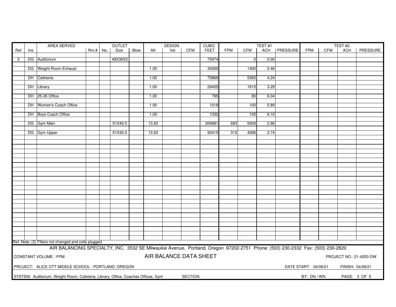|     |     | AREA SERVED<br>OUTLET                                                                                                         |                               |  |         |      |       | <b>DESIGN</b>          |            | <b>CUBIC</b> |            |                | TEST#1 |                 | TEST#2               |     |                  |                         |
|-----|-----|-------------------------------------------------------------------------------------------------------------------------------|-------------------------------|--|---------|------|-------|------------------------|------------|--------------|------------|----------------|--------|-----------------|----------------------|-----|------------------|-------------------------|
| Ref | Ins |                                                                                                                               | $Rm.+$ No.                    |  | Size    | Blow | AK    | Vel                    | <b>CFM</b> | FEET         | <b>FPM</b> | <b>CFM</b>     | ACH    | <b>PRESSURE</b> | <b>FPM</b>           | CFM | <b>ACH</b>       | PRESSURE                |
|     |     |                                                                                                                               |                               |  |         |      |       |                        |            |              |            |                |        |                 |                      |     |                  |                         |
| 3   |     | DG Auditorium                                                                                                                 |                               |  | 48X36X2 |      |       |                        |            | 75974        |            | $\overline{0}$ | 0.00   |                 |                      |     |                  |                         |
|     |     | DG Weight Room Exhaust                                                                                                        |                               |  |         |      | 1.00  |                        |            | 34200        |            | 1400           | 2.46   |                 |                      |     |                  |                         |
|     |     |                                                                                                                               |                               |  |         |      |       |                        |            |              |            |                |        |                 |                      |     |                  |                         |
|     |     | DH Cafeteria                                                                                                                  |                               |  |         |      | 1.00  |                        |            | 75869        |            | 5365           | 4.24   |                 |                      |     |                  |                         |
|     |     |                                                                                                                               |                               |  |         |      |       |                        |            |              |            |                |        |                 |                      |     |                  |                         |
|     |     | DH Library                                                                                                                    | 29455<br>1615<br>1.00<br>3.29 |  |         |      |       |                        |            |              |            |                |        |                 |                      |     |                  |                         |
|     |     | DH 25-26 Office                                                                                                               | 1.00<br>795<br>80<br>6.04     |  |         |      |       |                        |            |              |            |                |        |                 |                      |     |                  |                         |
|     |     |                                                                                                                               |                               |  |         |      |       |                        |            |              |            |                |        |                 |                      |     |                  |                         |
|     |     | DH Women's Coach Office                                                                                                       |                               |  |         |      | 1.00  |                        |            | 1018         |            | 100            | 5.89   |                 |                      |     |                  |                         |
|     |     |                                                                                                                               |                               |  |         |      |       |                        |            |              |            |                |        |                 |                      |     |                  |                         |
|     |     | DH Boys Coach Office                                                                                                          |                               |  |         |      | 1.00  |                        |            | 1032         |            | 105            | 6.10   |                 |                      |     |                  |                         |
|     |     | DG Gym Main                                                                                                                   |                               |  | 51X40.5 |      | 13.63 |                        |            | 209681       | 683        | 9309           | 2.66   |                 |                      |     |                  |                         |
|     |     |                                                                                                                               |                               |  |         |      |       |                        |            |              |            |                |        |                 |                      |     |                  |                         |
|     |     | DG Gym Upper                                                                                                                  |                               |  | 51X40.5 |      | 13.63 |                        |            | 93415        | 313        | 4266           | 2.74   |                 |                      |     |                  |                         |
|     |     |                                                                                                                               |                               |  |         |      |       |                        |            |              |            |                |        |                 |                      |     |                  |                         |
|     |     |                                                                                                                               |                               |  |         |      |       |                        |            |              |            |                |        |                 |                      |     |                  |                         |
|     |     |                                                                                                                               |                               |  |         |      |       |                        |            |              |            |                |        |                 |                      |     |                  |                         |
|     |     |                                                                                                                               |                               |  |         |      |       |                        |            |              |            |                |        |                 |                      |     |                  |                         |
|     |     |                                                                                                                               |                               |  |         |      |       |                        |            |              |            |                |        |                 |                      |     |                  |                         |
|     |     |                                                                                                                               |                               |  |         |      |       |                        |            |              |            |                |        |                 |                      |     |                  |                         |
|     |     |                                                                                                                               |                               |  |         |      |       |                        |            |              |            |                |        |                 |                      |     |                  |                         |
|     |     |                                                                                                                               |                               |  |         |      |       |                        |            |              |            |                |        |                 |                      |     |                  |                         |
|     |     |                                                                                                                               |                               |  |         |      |       |                        |            |              |            |                |        |                 |                      |     |                  |                         |
|     |     |                                                                                                                               |                               |  |         |      |       |                        |            |              |            |                |        |                 |                      |     |                  |                         |
|     |     |                                                                                                                               |                               |  |         |      |       |                        |            |              |            |                |        |                 |                      |     |                  |                         |
|     |     |                                                                                                                               |                               |  |         |      |       |                        |            |              |            |                |        |                 |                      |     |                  |                         |
|     |     |                                                                                                                               |                               |  |         |      |       |                        |            |              |            |                |        |                 |                      |     |                  |                         |
|     |     |                                                                                                                               |                               |  |         |      |       |                        |            |              |            |                |        |                 |                      |     |                  |                         |
|     |     |                                                                                                                               |                               |  |         |      |       |                        |            |              |            |                |        |                 |                      |     |                  |                         |
|     |     |                                                                                                                               |                               |  |         |      |       |                        |            |              |            |                |        |                 |                      |     |                  |                         |
|     |     |                                                                                                                               |                               |  |         |      |       |                        |            |              |            |                |        |                 |                      |     |                  |                         |
|     |     |                                                                                                                               |                               |  |         |      |       |                        |            |              |            |                |        |                 |                      |     |                  |                         |
|     |     |                                                                                                                               |                               |  |         |      |       |                        |            |              |            |                |        |                 |                      |     |                  |                         |
|     |     |                                                                                                                               |                               |  |         |      |       |                        |            |              |            |                |        |                 |                      |     |                  |                         |
|     |     | Ref. Note: (3) Filters not changed and coils plugged.                                                                         |                               |  |         |      |       |                        |            |              |            |                |        |                 |                      |     |                  |                         |
|     |     | AIR BALANCING SPECIALTY, INC. 3532 SE Milwaukie Avenue, Portland, Oregon 97202-2751 Phone: (503) 230-2332 Fax: (503) 230-2820 |                               |  |         |      |       |                        |            |              |            |                |        |                 |                      |     |                  |                         |
|     |     | CONSTANT VOLUME - FPM                                                                                                         |                               |  |         |      |       | AIR BALANCE DATA SHEET |            |              |            |                |        |                 |                      |     |                  | PROJECT NO.: 21-4253-DW |
|     |     | PROJECT: ALICE OTT MIDDLE SCHOOL - PORTLAND, OREGON                                                                           |                               |  |         |      |       |                        |            |              |            |                |        |                 | DATE START: 04/08/21 |     | FINISH: 04/08/21 |                         |
|     |     | SYSTEM: Auditorium, Weight Room, Cafeteria, Library, Office, Coaches Offices, Gym                                             |                               |  |         |      |       |                        | SECTION:   |              |            |                |        |                 | BY: DN / WN          |     |                  | PAGE: 3 OF 5            |
|     |     |                                                                                                                               |                               |  |         |      |       |                        |            |              |            |                |        |                 |                      |     |                  |                         |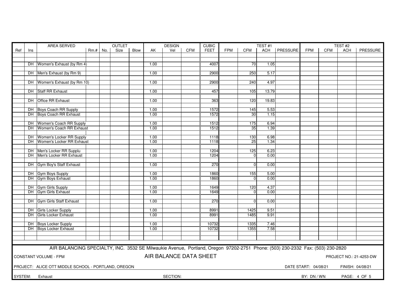| AREA SERVED<br><b>OUTLET</b> |                                                                                                 |                                                                                                                               |        |     |      |             |      | <b>DESIGN</b>          |            | <b>CUBIC</b> |            |                 | TEST#1 | TEST#2          |             |     |     |                         |
|------------------------------|-------------------------------------------------------------------------------------------------|-------------------------------------------------------------------------------------------------------------------------------|--------|-----|------|-------------|------|------------------------|------------|--------------|------------|-----------------|--------|-----------------|-------------|-----|-----|-------------------------|
| Ref                          | Ins                                                                                             |                                                                                                                               | $Rm.+$ | No. | Size | <b>Blow</b> | AK   | Vel                    | <b>CFM</b> | <b>FEET</b>  | <b>FPM</b> | <b>CFM</b>      | ACH    | <b>PRESSURE</b> | <b>FPM</b>  | CFM | ACH | PRESSURE                |
|                              |                                                                                                 |                                                                                                                               |        |     |      |             |      |                        |            |              |            |                 |        |                 |             |     |     |                         |
|                              |                                                                                                 |                                                                                                                               |        |     |      |             |      |                        |            |              |            |                 |        |                 |             |     |     |                         |
|                              |                                                                                                 | DH Women's Exhaust (by Rm 4)                                                                                                  |        |     |      |             | 1.00 |                        |            | 4007         |            | 70              | 1.05   |                 |             |     |     |                         |
|                              |                                                                                                 |                                                                                                                               |        |     |      |             |      |                        |            |              |            |                 |        |                 |             |     |     |                         |
|                              |                                                                                                 | DH Men's Exhaust (by Rm 9)                                                                                                    |        |     |      |             | 1.00 |                        |            | 2900         |            | 250             | 5.17   |                 |             |     |     |                         |
|                              |                                                                                                 |                                                                                                                               |        |     |      |             |      |                        |            |              |            |                 |        |                 |             |     |     |                         |
|                              |                                                                                                 | DH Women's Exhaust (by Rm 10)                                                                                                 |        |     |      |             | 1.00 |                        |            | 2900         |            | 240             | 4.97   |                 |             |     |     |                         |
|                              |                                                                                                 |                                                                                                                               |        |     |      |             |      |                        |            |              |            |                 |        |                 |             |     |     |                         |
|                              |                                                                                                 | DH Staff RR Exhaust                                                                                                           |        |     |      |             | 1.00 |                        |            | 457          |            | 105             | 13.79  |                 |             |     |     |                         |
|                              |                                                                                                 |                                                                                                                               |        |     |      |             |      |                        |            |              |            |                 |        |                 |             |     |     |                         |
|                              |                                                                                                 | DH Office RR Exhaust                                                                                                          |        |     |      |             | 1.00 |                        |            | 363          |            | 120             | 19.83  |                 |             |     |     |                         |
|                              |                                                                                                 |                                                                                                                               |        |     |      |             |      |                        |            |              |            |                 |        |                 |             |     |     |                         |
|                              |                                                                                                 | DH Boys Coach RR Supply                                                                                                       |        |     |      |             | 1.00 |                        |            | 1572         |            | 145             | 5.53   |                 |             |     |     |                         |
|                              |                                                                                                 | DH Boys Coach RR Exhaust                                                                                                      |        |     |      |             | 1.00 |                        |            | 1572         |            | $\overline{30}$ | 1.15   |                 |             |     |     |                         |
|                              |                                                                                                 |                                                                                                                               |        |     |      |             |      |                        |            |              |            |                 |        |                 |             |     |     |                         |
|                              |                                                                                                 | DH Women's Coach RR Supply                                                                                                    |        |     |      |             | 1.00 |                        |            | 1512         |            | 175             | 6.94   |                 |             |     |     |                         |
|                              |                                                                                                 | DH Women's Coach RR Exhaust                                                                                                   |        |     |      |             | 1.00 |                        |            | 1512         |            | 35              | 1.39   |                 |             |     |     |                         |
|                              |                                                                                                 |                                                                                                                               |        |     |      |             |      |                        |            |              |            |                 |        |                 |             |     |     |                         |
|                              |                                                                                                 | DH Women's Locker RR Supply                                                                                                   |        |     |      |             | 1.00 |                        |            | 1118         |            | 130             | 6.98   |                 |             |     |     |                         |
|                              |                                                                                                 | DH Women's Locker RR Exhaust                                                                                                  |        |     |      |             | 1.00 |                        |            | 1118         |            | $\overline{25}$ | 1.34   |                 |             |     |     |                         |
|                              |                                                                                                 |                                                                                                                               |        |     |      |             |      |                        |            |              |            |                 |        |                 |             |     |     |                         |
|                              |                                                                                                 | DH Men's Locker RR Supplu                                                                                                     |        |     |      |             | 1.00 |                        |            | 1204         |            | 125             | 6.23   |                 |             |     |     |                         |
|                              |                                                                                                 | DH Men's Locker RR Exhaust                                                                                                    |        |     |      |             | 1.00 |                        |            | 1204         |            | $\Omega$        | 0.00   |                 |             |     |     |                         |
|                              |                                                                                                 |                                                                                                                               |        |     |      |             |      |                        |            |              |            |                 |        |                 |             |     |     |                         |
|                              |                                                                                                 | DH Gym Boy's Staff Exhaust                                                                                                    |        |     |      |             | 1.00 |                        |            | 270          |            | $\Omega$        | 0.00   |                 |             |     |     |                         |
|                              |                                                                                                 |                                                                                                                               |        |     |      |             |      |                        |            |              |            |                 |        |                 |             |     |     |                         |
|                              |                                                                                                 | DH Gym Boys Supply                                                                                                            |        |     |      |             | 1.00 |                        |            | 1860         |            | 155             | 5.00   |                 |             |     |     |                         |
|                              |                                                                                                 | DH Gym Boys Exhaust                                                                                                           |        |     |      |             | 1.00 |                        |            | 1860         |            | $\overline{0}$  | 0.00   |                 |             |     |     |                         |
|                              |                                                                                                 |                                                                                                                               |        |     |      |             |      |                        |            |              |            |                 |        |                 |             |     |     |                         |
|                              |                                                                                                 | DH Gym Girls Supply                                                                                                           |        |     |      |             | 1.00 |                        |            | 1649         |            | 120             | 4.37   |                 |             |     |     |                         |
|                              |                                                                                                 | DH Gym Girls Exhaust                                                                                                          |        |     |      |             | 1.00 |                        |            | 1649         |            | $\Omega$        | 0.00   |                 |             |     |     |                         |
|                              |                                                                                                 |                                                                                                                               |        |     |      |             |      |                        |            |              |            |                 |        |                 |             |     |     |                         |
|                              |                                                                                                 |                                                                                                                               |        |     |      |             | 1.00 |                        |            | 270          |            | $\Omega$        | 0.00   |                 |             |     |     |                         |
|                              |                                                                                                 | DH Gym Girls Staff Exhaust                                                                                                    |        |     |      |             |      |                        |            |              |            |                 |        |                 |             |     |     |                         |
|                              |                                                                                                 |                                                                                                                               |        |     |      |             | 1.00 |                        |            |              |            |                 | 9.51   |                 |             |     |     |                         |
|                              |                                                                                                 | DH Girls Locker Supply<br>DH Girls Locker Exhaust                                                                             |        |     |      |             |      |                        |            | 8991         |            | 1425            |        |                 |             |     |     |                         |
|                              |                                                                                                 |                                                                                                                               |        |     |      |             | 1.00 |                        |            | 8991         |            | 1485            | 9.91   |                 |             |     |     |                         |
|                              |                                                                                                 |                                                                                                                               |        |     |      |             |      |                        |            |              |            |                 |        |                 |             |     |     |                         |
|                              |                                                                                                 | DH Boys Locker Supply                                                                                                         |        |     |      |             | 1.00 |                        |            | 10732        |            | 1335            | 7.46   |                 |             |     |     |                         |
|                              |                                                                                                 | DH Boys Locker Exhaust                                                                                                        |        |     |      |             | 1.00 |                        |            | 10732        |            | 1355            | 7.58   |                 |             |     |     |                         |
|                              |                                                                                                 |                                                                                                                               |        |     |      |             |      |                        |            |              |            |                 |        |                 |             |     |     |                         |
|                              |                                                                                                 |                                                                                                                               |        |     |      |             |      |                        |            |              |            |                 |        |                 |             |     |     |                         |
|                              |                                                                                                 |                                                                                                                               |        |     |      |             |      |                        |            |              |            |                 |        |                 |             |     |     |                         |
|                              |                                                                                                 | AIR BALANCING SPECIALTY, INC. 3532 SE Milwaukie Avenue, Portland, Oregon 97202-2751 Phone: (503) 230-2332 Fax: (503) 230-2820 |        |     |      |             |      |                        |            |              |            |                 |        |                 |             |     |     |                         |
|                              |                                                                                                 |                                                                                                                               |        |     |      |             |      |                        |            |              |            |                 |        |                 |             |     |     |                         |
|                              |                                                                                                 | <b>CONSTANT VOLUME - FPM</b>                                                                                                  |        |     |      |             |      | AIR BALANCE DATA SHEET |            |              |            |                 |        |                 |             |     |     | PROJECT NO.: 21-4253-DW |
|                              |                                                                                                 |                                                                                                                               |        |     |      |             |      |                        |            |              |            |                 |        |                 |             |     |     |                         |
|                              | PROJECT: ALICE OTT MIDDLE SCHOOL - PORTLAND, OREGON<br>DATE START: 04/08/21<br>FINISH: 04/08/21 |                                                                                                                               |        |     |      |             |      |                        |            |              |            |                 |        |                 |             |     |     |                         |
|                              |                                                                                                 |                                                                                                                               |        |     |      |             |      |                        |            |              |            |                 |        |                 |             |     |     |                         |
| SYSTEM:                      |                                                                                                 | Exhaust                                                                                                                       |        |     |      |             |      | SECTION:               |            |              |            |                 |        |                 | BY: DN / WN |     |     | PAGE: 4 OF 5            |
|                              |                                                                                                 |                                                                                                                               |        |     |      |             |      |                        |            |              |            |                 |        |                 |             |     |     |                         |